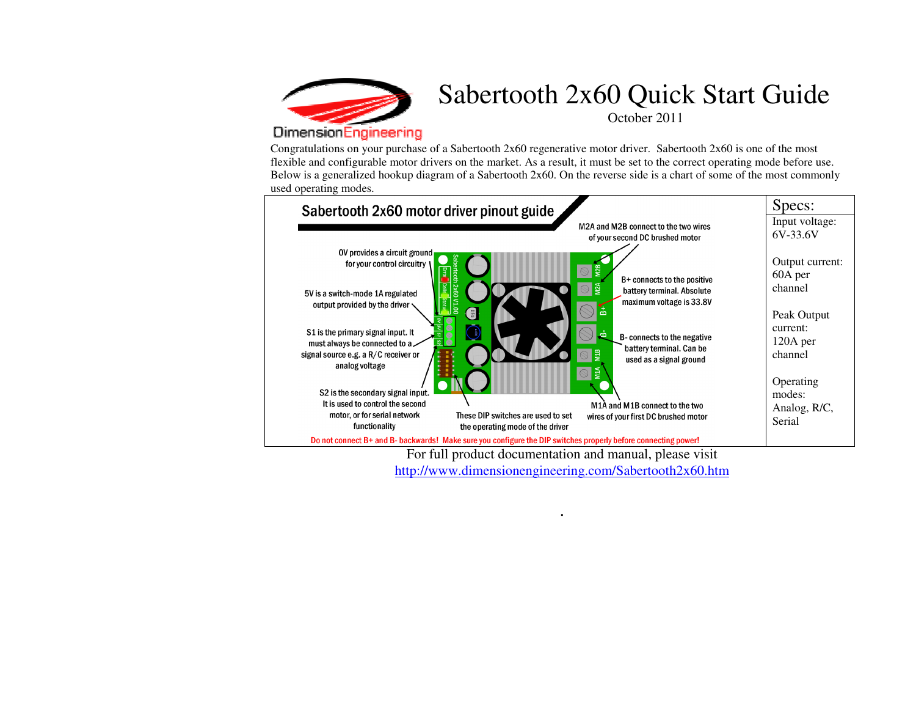

## Sabertooth 2x60 Quick Start Guide October 2011

## **DimensionEngineering**

Congratulations on your purchase of a Sabertooth  $2x60$  regenerative motor driver. Sabertooth  $2x60$  is one of the most flexible and configurable motor drivers on the market. As a result, it must be set to the correct operating mode before use. Below is a generalized hookup diagram of a Sabertooth 2x60. On the reverse side is a chart of some of the most commonly used operating modes.



For full product documentation and manual, please visit http://www.dimensionengineering.com/Sabertooth2x60.htm

.